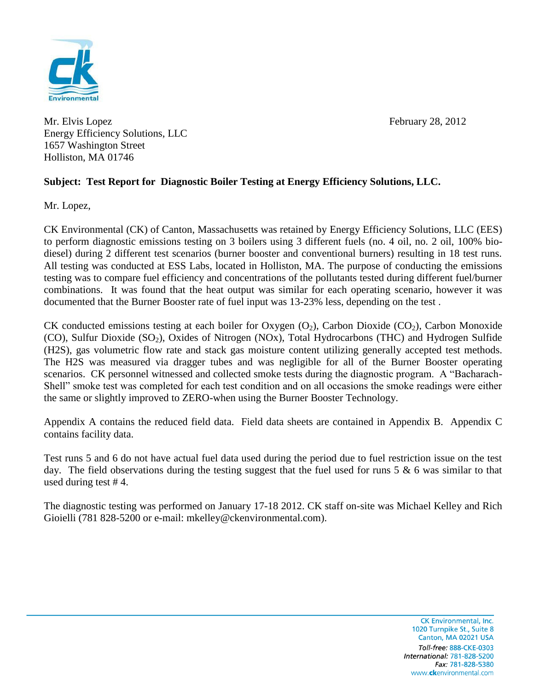Mr. Elvis Lopez February 28, 2012 Energy Efficiency Solutions, LLC 1657 Washington Street Holliston, MA 01746

## **Subject: Test Report for Diagnostic Boiler Testing at Energy Efficiency Solutions, LLC.**

Mr. Lopez,

CK Environmental (CK) of Canton, Massachusetts was retained by Energy Efficiency Solutions, LLC (EES) to perform diagnostic emissions testing on 3 boilers using 3 different fuels (no. 4 oil, no. 2 oil, 100% biodiesel) during 2 different test scenarios (burner booster and conventional burners) resulting in 18 test runs. All testing was conducted at ESS Labs, located in Holliston, MA. The purpose of conducting the emissions testing was to compare fuel efficiency and concentrations of the pollutants tested during different fuel/burner combinations. It was found that the heat output was similar for each operating scenario, however it was documented that the Burner Booster rate of fuel input was 13-23% less, depending on the test .

CK conducted emissions testing at each boiler for Oxygen  $(O_2)$ , Carbon Dioxide  $(CO_2)$ , Carbon Monoxide (CO), Sulfur Dioxide  $(SO_2)$ , Oxides of Nitrogen (NOx), Total Hydrocarbons (THC) and Hydrogen Sulfide (H2S), gas volumetric flow rate and stack gas moisture content utilizing generally accepted test methods. The H2S was measured via dragger tubes and was negligible for all of the Burner Booster operating scenarios. CK personnel witnessed and collected smoke tests during the diagnostic program. A "Bacharach-Shell" smoke test was completed for each test condition and on all occasions the smoke readings were either the same or slightly improved to ZERO-when using the Burner Booster Technology.

Appendix A contains the reduced field data. Field data sheets are contained in Appendix B. Appendix C contains facility data.

Test runs 5 and 6 do not have actual fuel data used during the period due to fuel restriction issue on the test day. The field observations during the testing suggest that the fuel used for runs 5 & 6 was similar to that used during test # 4.

The diagnostic testing was performed on January 17-18 2012. CK staff on-site was Michael Kelley and Rich Gioielli (781 828-5200 or e-mail: mkelley@ckenvironmental.com).

> CK Environmental, Inc. 1020 Turnpike St., Suite 8 Canton, MA 02021 USA Toll-free: 888-CKE-0303 International: 781-828-5200 Fax: 781-828-5380 www.ckenvironmental.com